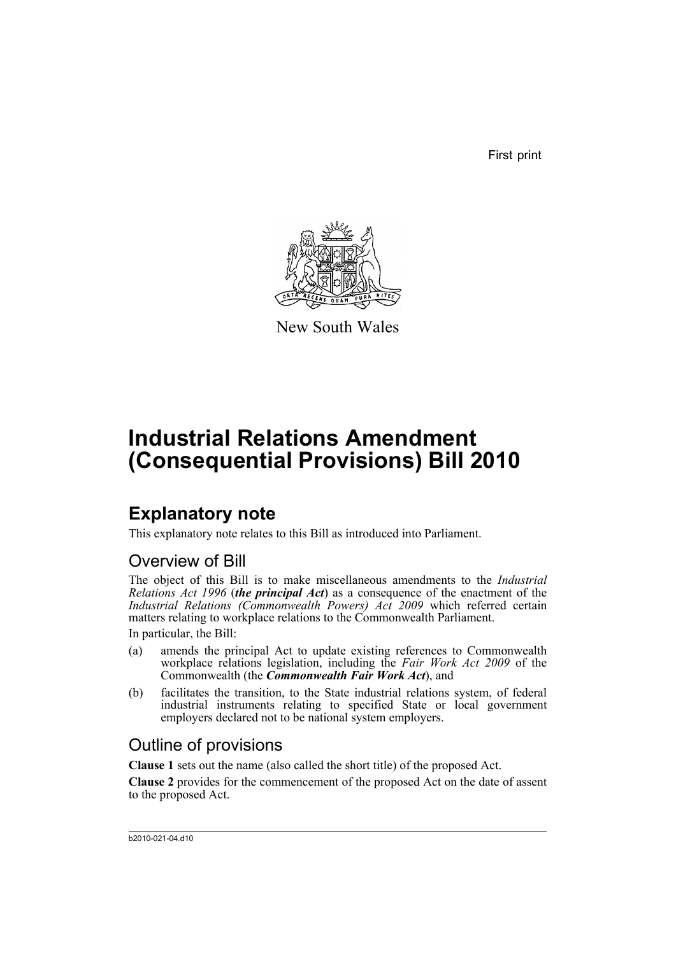First print



New South Wales

# **Industrial Relations Amendment (Consequential Provisions) Bill 2010**

# **Explanatory note**

This explanatory note relates to this Bill as introduced into Parliament.

## Overview of Bill

The object of this Bill is to make miscellaneous amendments to the *Industrial Relations Act 1996* (*the principal Act*) as a consequence of the enactment of the *Industrial Relations (Commonwealth Powers) Act 2009* which referred certain matters relating to workplace relations to the Commonwealth Parliament.

In particular, the Bill:

- (a) amends the principal Act to update existing references to Commonwealth workplace relations legislation, including the *Fair Work Act 2009* of the Commonwealth (the *Commonwealth Fair Work Act*), and
- (b) facilitates the transition, to the State industrial relations system, of federal industrial instruments relating to specified State or local government employers declared not to be national system employers.

## Outline of provisions

**Clause 1** sets out the name (also called the short title) of the proposed Act.

**Clause 2** provides for the commencement of the proposed Act on the date of assent to the proposed Act.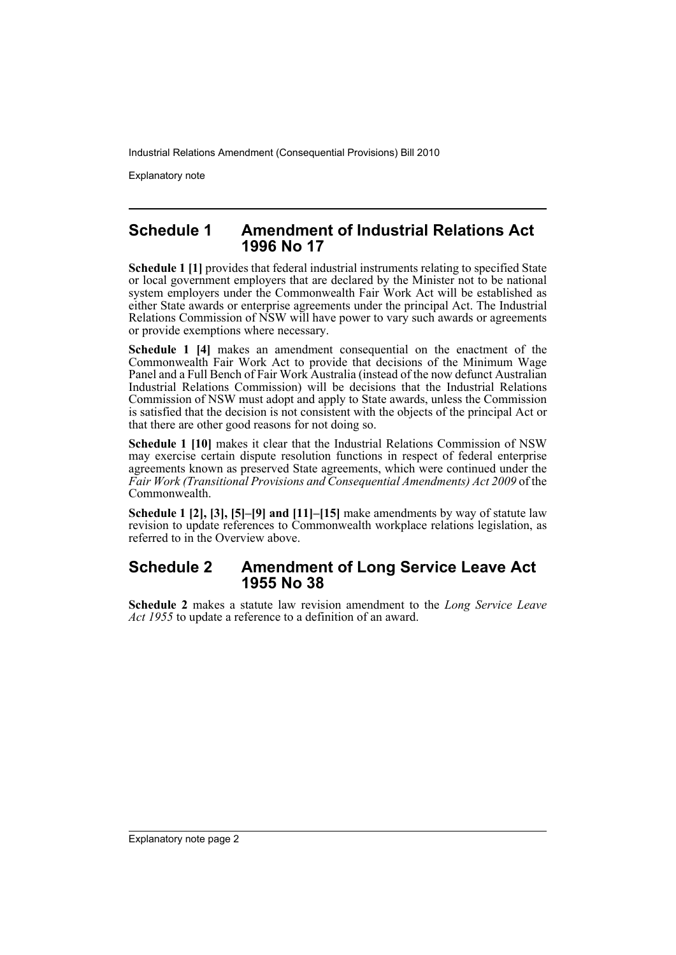Explanatory note

### **Schedule 1 Amendment of Industrial Relations Act 1996 No 17**

**Schedule 1 [1]** provides that federal industrial instruments relating to specified State or local government employers that are declared by the Minister not to be national system employers under the Commonwealth Fair Work Act will be established as either State awards or enterprise agreements under the principal Act. The Industrial Relations Commission of NSW will have power to vary such awards or agreements or provide exemptions where necessary.

**Schedule 1 [4]** makes an amendment consequential on the enactment of the Commonwealth Fair Work Act to provide that decisions of the Minimum Wage Panel and a Full Bench of Fair Work Australia (instead of the now defunct Australian Industrial Relations Commission) will be decisions that the Industrial Relations Commission of NSW must adopt and apply to State awards, unless the Commission is satisfied that the decision is not consistent with the objects of the principal Act or that there are other good reasons for not doing so.

**Schedule 1 [10]** makes it clear that the Industrial Relations Commission of NSW may exercise certain dispute resolution functions in respect of federal enterprise agreements known as preserved State agreements, which were continued under the *Fair Work (Transitional Provisions and Consequential Amendments) Act 2009* of the Commonwealth.

**Schedule 1 [2], [3], [5]–[9] and [11]–[15]** make amendments by way of statute law revision to update references to Commonwealth workplace relations legislation, as referred to in the Overview above.

## **Schedule 2 Amendment of Long Service Leave Act 1955 No 38**

**Schedule 2** makes a statute law revision amendment to the *Long Service Leave Act 1955* to update a reference to a definition of an award.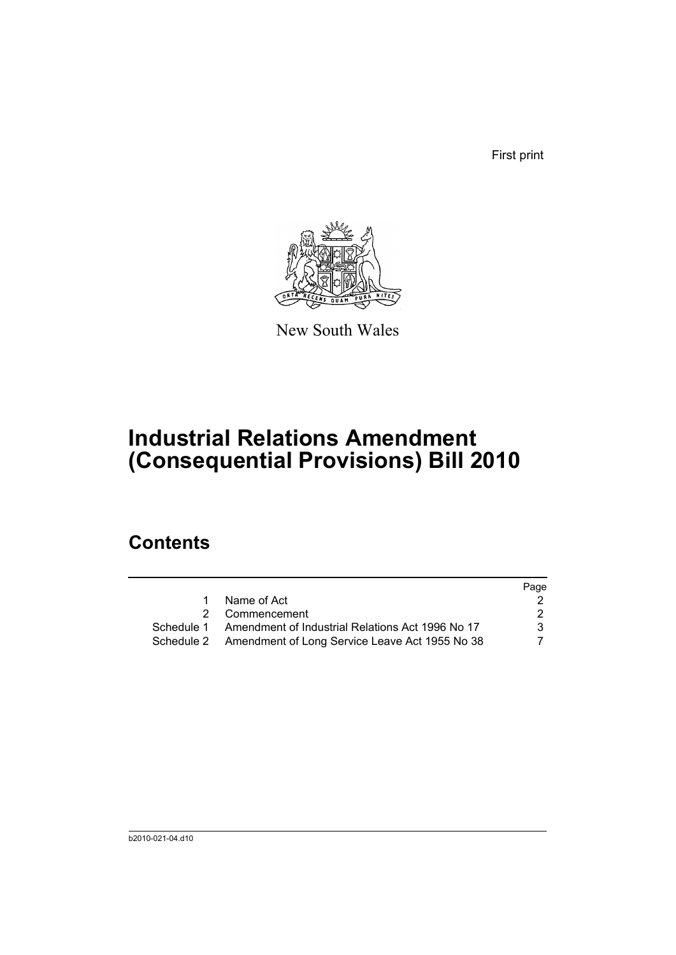First print



New South Wales

# **Industrial Relations Amendment (Consequential Provisions) Bill 2010**

## **Contents**

|            |                                                           | Page |
|------------|-----------------------------------------------------------|------|
| 1.         | Name of Act                                               |      |
|            | 2 Commencement                                            | 2    |
| Schedule 1 | Amendment of Industrial Relations Act 1996 No 17          | 3    |
|            | Schedule 2 Amendment of Long Service Leave Act 1955 No 38 |      |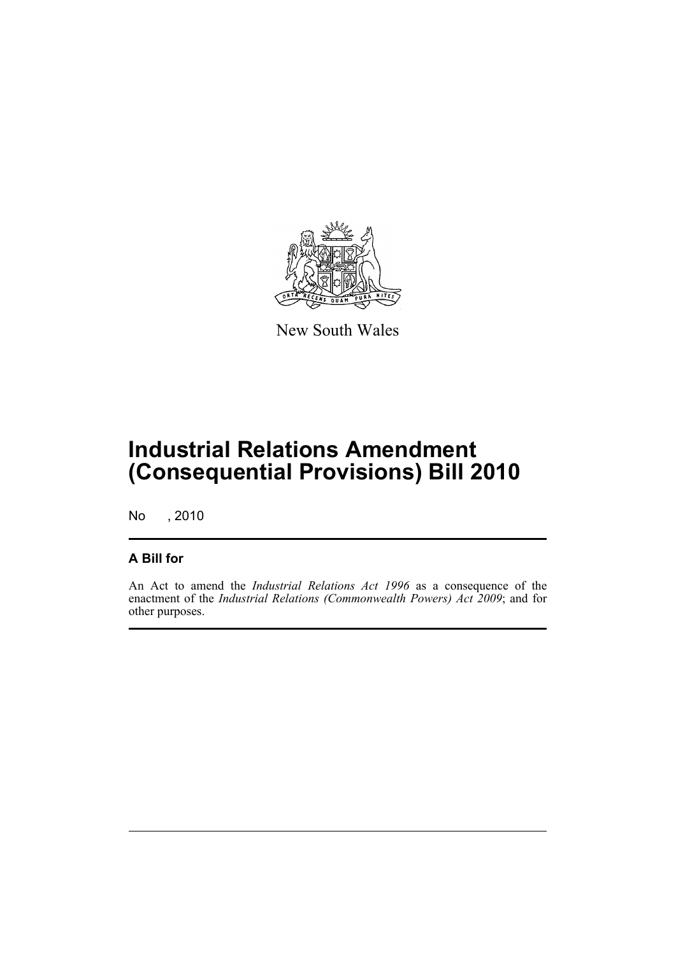

New South Wales

# **Industrial Relations Amendment (Consequential Provisions) Bill 2010**

No , 2010

### **A Bill for**

An Act to amend the *Industrial Relations Act 1996* as a consequence of the enactment of the *Industrial Relations (Commonwealth Powers) Act 2009*; and for other purposes.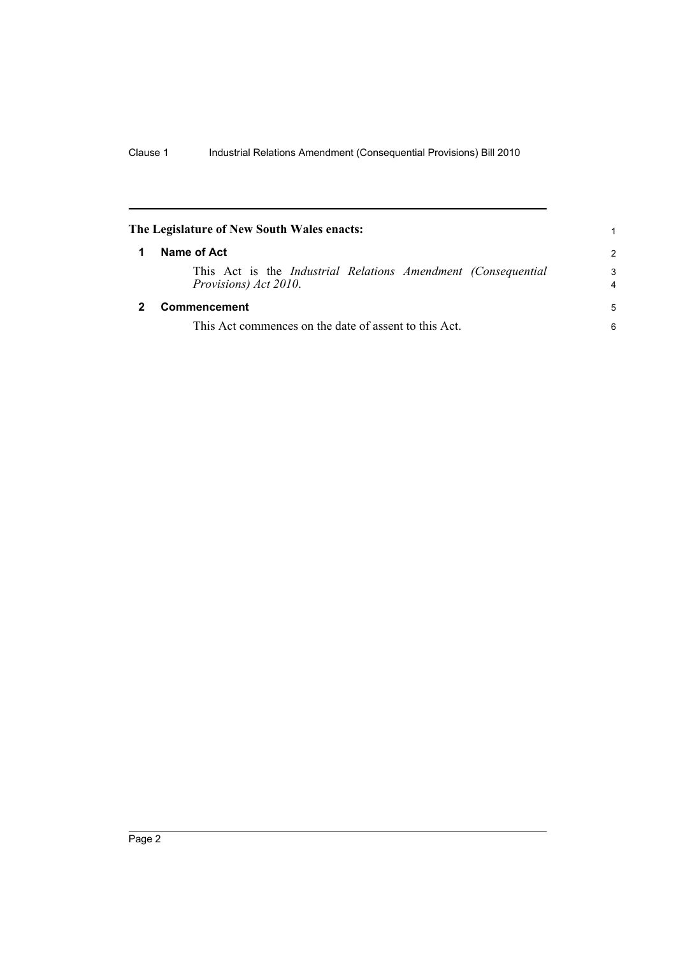<span id="page-5-1"></span><span id="page-5-0"></span>

| The Legislature of New South Wales enacts: |                                                                                               | 1                   |  |
|--------------------------------------------|-----------------------------------------------------------------------------------------------|---------------------|--|
|                                            | Name of Act                                                                                   |                     |  |
|                                            | This Act is the <i>Industrial Relations Amendment (Consequential</i><br>Provisions) Act 2010. | 3<br>$\overline{4}$ |  |
|                                            | Commencement                                                                                  | 5                   |  |
|                                            | This Act commences on the date of assent to this Act.                                         | 6                   |  |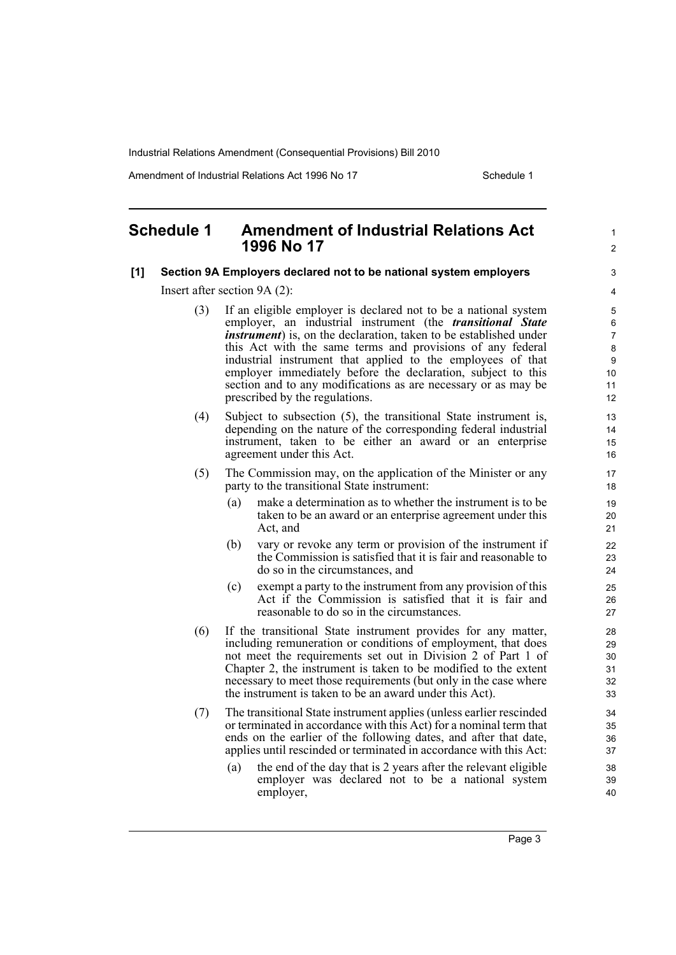Amendment of Industrial Relations Act 1996 No 17 Schedule 1

1  $\mathfrak{p}$ 

### <span id="page-6-0"></span>**Schedule 1 Amendment of Industrial Relations Act 1996 No 17**

#### **[1] Section 9A Employers declared not to be national system employers**

Insert after section 9A (2):

- (3) If an eligible employer is declared not to be a national system employer, an industrial instrument (the *transitional State instrument*) is, on the declaration, taken to be established under this Act with the same terms and provisions of any federal industrial instrument that applied to the employees of that employer immediately before the declaration, subject to this section and to any modifications as are necessary or as may be prescribed by the regulations.
- (4) Subject to subsection (5), the transitional State instrument is, depending on the nature of the corresponding federal industrial instrument, taken to be either an award or an enterprise agreement under this Act.
- (5) The Commission may, on the application of the Minister or any party to the transitional State instrument:
	- (a) make a determination as to whether the instrument is to be taken to be an award or an enterprise agreement under this Act, and
	- (b) vary or revoke any term or provision of the instrument if the Commission is satisfied that it is fair and reasonable to do so in the circumstances, and
	- (c) exempt a party to the instrument from any provision of this Act if the Commission is satisfied that it is fair and reasonable to do so in the circumstances.
- (6) If the transitional State instrument provides for any matter, including remuneration or conditions of employment, that does not meet the requirements set out in Division 2 of Part 1 of Chapter 2, the instrument is taken to be modified to the extent necessary to meet those requirements (but only in the case where the instrument is taken to be an award under this Act).
- (7) The transitional State instrument applies (unless earlier rescinded or terminated in accordance with this Act) for a nominal term that ends on the earlier of the following dates, and after that date, applies until rescinded or terminated in accordance with this Act:
	- (a) the end of the day that is 2 years after the relevant eligible employer was declared not to be a national system employer,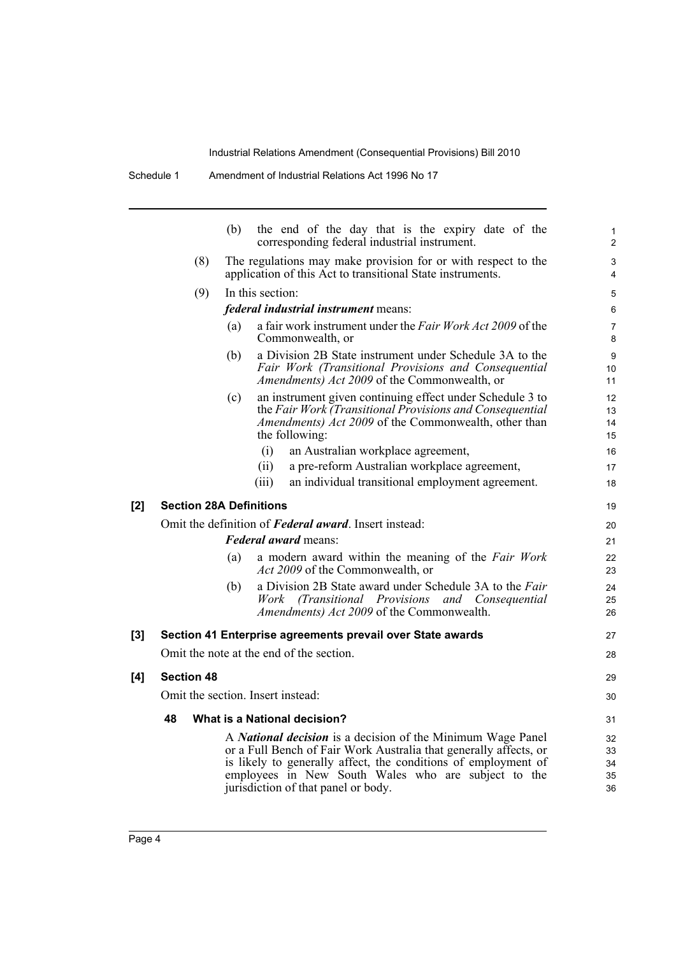Schedule 1 Amendment of Industrial Relations Act 1996 No 17

|                                | (b)                               | the end of the day that is the expiry date of the<br>corresponding federal industrial instrument.                                                                                                                                                                                                |  |
|--------------------------------|-----------------------------------|--------------------------------------------------------------------------------------------------------------------------------------------------------------------------------------------------------------------------------------------------------------------------------------------------|--|
| (8)                            |                                   | The regulations may make provision for or with respect to the<br>application of this Act to transitional State instruments.                                                                                                                                                                      |  |
| (9)                            |                                   | In this section:                                                                                                                                                                                                                                                                                 |  |
|                                |                                   | federal industrial instrument means:                                                                                                                                                                                                                                                             |  |
|                                | (a)                               | a fair work instrument under the Fair Work Act 2009 of the<br>Commonwealth, or                                                                                                                                                                                                                   |  |
|                                | (b)                               | a Division 2B State instrument under Schedule 3A to the<br>Fair Work (Transitional Provisions and Consequential<br>Amendments) Act 2009 of the Commonwealth, or                                                                                                                                  |  |
|                                | (c)                               | an instrument given continuing effect under Schedule 3 to<br>the Fair Work (Transitional Provisions and Consequential<br><i>Amendments) Act 2009</i> of the Commonwealth, other than<br>the following:                                                                                           |  |
|                                |                                   | (i)<br>an Australian workplace agreement,                                                                                                                                                                                                                                                        |  |
|                                |                                   | a pre-reform Australian workplace agreement,<br>(ii)                                                                                                                                                                                                                                             |  |
|                                |                                   | an individual transitional employment agreement.<br>(iii)                                                                                                                                                                                                                                        |  |
| <b>Section 28A Definitions</b> |                                   |                                                                                                                                                                                                                                                                                                  |  |
|                                |                                   | Omit the definition of <b>Federal award</b> . Insert instead:                                                                                                                                                                                                                                    |  |
|                                |                                   | <b>Federal award means:</b>                                                                                                                                                                                                                                                                      |  |
|                                | (a)                               | a modern award within the meaning of the Fair Work<br><i>Act 2009</i> of the Commonwealth, or                                                                                                                                                                                                    |  |
|                                | (b)                               | a Division 2B State award under Schedule 3A to the Fair<br>(Transitional Provisions<br>Work<br>and Consequential<br>Amendments) Act 2009 of the Commonwealth.                                                                                                                                    |  |
|                                |                                   | Section 41 Enterprise agreements prevail over State awards                                                                                                                                                                                                                                       |  |
|                                |                                   | Omit the note at the end of the section.                                                                                                                                                                                                                                                         |  |
| <b>Section 48</b>              |                                   |                                                                                                                                                                                                                                                                                                  |  |
|                                | Omit the section. Insert instead: |                                                                                                                                                                                                                                                                                                  |  |
| 48                             |                                   | What is a National decision?                                                                                                                                                                                                                                                                     |  |
|                                |                                   | A National decision is a decision of the Minimum Wage Panel<br>or a Full Bench of Fair Work Australia that generally affects, or<br>is likely to generally affect, the conditions of employment of<br>employees in New South Wales who are subject to the<br>jurisdiction of that panel or body. |  |
|                                |                                   |                                                                                                                                                                                                                                                                                                  |  |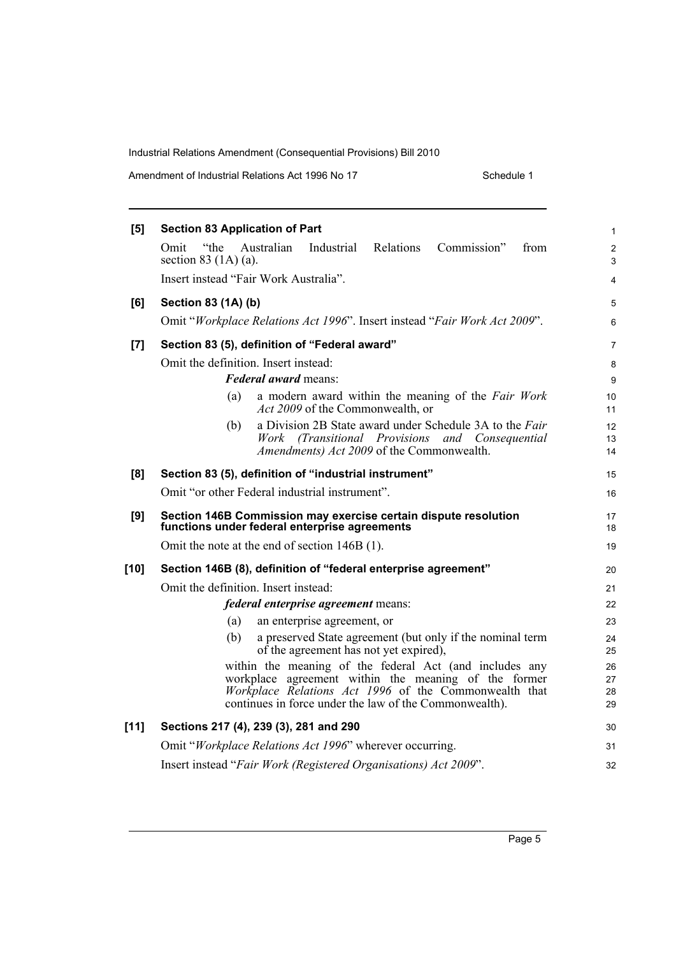Amendment of Industrial Relations Act 1996 No 17 Schedule 1

| [5]    | <b>Section 83 Application of Part</b>                                                                                                                                                                                              | $\mathbf{1}$         |  |  |
|--------|------------------------------------------------------------------------------------------------------------------------------------------------------------------------------------------------------------------------------------|----------------------|--|--|
|        | Omit<br>Australian<br>Industrial<br>Relations<br>Commission"<br>"the<br>from<br>section 83 $(1A)$ (a).                                                                                                                             | $\overline{2}$<br>3  |  |  |
|        | Insert instead "Fair Work Australia".                                                                                                                                                                                              | 4                    |  |  |
| [6]    | <b>Section 83 (1A) (b)</b>                                                                                                                                                                                                         | 5                    |  |  |
|        | Omit "Workplace Relations Act 1996". Insert instead "Fair Work Act 2009".                                                                                                                                                          | 6                    |  |  |
| $[7]$  | Section 83 (5), definition of "Federal award"                                                                                                                                                                                      | 7                    |  |  |
|        | Omit the definition. Insert instead:                                                                                                                                                                                               | 8                    |  |  |
|        | <b>Federal award means:</b>                                                                                                                                                                                                        |                      |  |  |
|        |                                                                                                                                                                                                                                    | 9                    |  |  |
|        | a modern award within the meaning of the Fair Work<br>(a)<br>Act 2009 of the Commonwealth, or                                                                                                                                      | 10<br>11             |  |  |
|        | a Division 2B State award under Schedule 3A to the Fair<br>(b)<br>(Transitional Provisions and Consequential)<br>Work<br>Amendments) Act 2009 of the Commonwealth.                                                                 | 12<br>13<br>14       |  |  |
| [8]    | Section 83 (5), definition of "industrial instrument"                                                                                                                                                                              | 15                   |  |  |
|        | Omit "or other Federal industrial instrument".                                                                                                                                                                                     | 16                   |  |  |
| [9]    | Section 146B Commission may exercise certain dispute resolution<br>functions under federal enterprise agreements                                                                                                                   | 17<br>18             |  |  |
|        | Omit the note at the end of section 146B (1).                                                                                                                                                                                      | 19                   |  |  |
| $[10]$ | Section 146B (8), definition of "federal enterprise agreement"                                                                                                                                                                     | 20                   |  |  |
|        | Omit the definition. Insert instead:                                                                                                                                                                                               | 21                   |  |  |
|        | <i>federal enterprise agreement</i> means:                                                                                                                                                                                         | 22                   |  |  |
|        | an enterprise agreement, or<br>(a)                                                                                                                                                                                                 | 23                   |  |  |
|        | (b)<br>a preserved State agreement (but only if the nominal term<br>of the agreement has not yet expired),                                                                                                                         | 24<br>25             |  |  |
|        | within the meaning of the federal Act (and includes any<br>workplace agreement within the meaning of the former<br>Workplace Relations Act 1996 of the Commonwealth that<br>continues in force under the law of the Commonwealth). | 26<br>27<br>28<br>29 |  |  |
| $[11]$ | Sections 217 (4), 239 (3), 281 and 290                                                                                                                                                                                             | 30                   |  |  |
|        | Omit "Workplace Relations Act 1996" wherever occurring.                                                                                                                                                                            | 31                   |  |  |
|        | Insert instead "Fair Work (Registered Organisations) Act 2009".                                                                                                                                                                    | 32                   |  |  |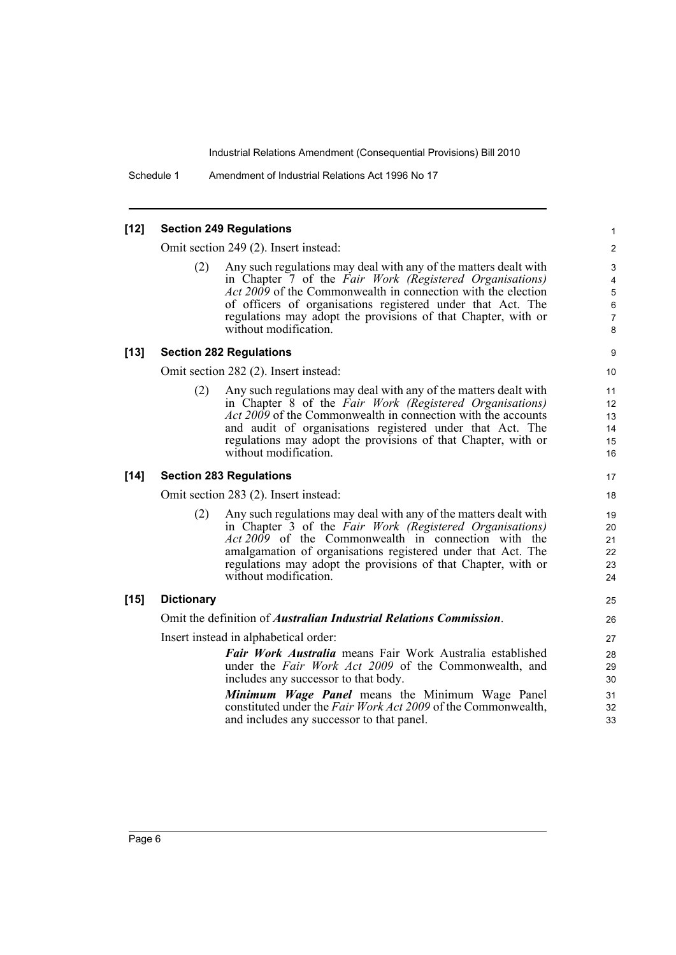Schedule 1 Amendment of Industrial Relations Act 1996 No 17

### **[12] Section 249 Regulations**

Omit section 249 (2). Insert instead:

Any such regulations may deal with any of the matters dealt with in Chapter 7 of the *Fair Work (Registered Organisations) Act 2009* of the Commonwealth in connection with the election of officers of organisations registered under that Act. The regulations may adopt the provisions of that Chapter, with or without modification.

### **[13] Section 282 Regulations**

Omit section 282 (2). Insert instead:

Any such regulations may deal with any of the matters dealt with in Chapter 8 of the *Fair Work (Registered Organisations) Act 2009* of the Commonwealth in connection with the accounts and audit of organisations registered under that Act. The regulations may adopt the provisions of that Chapter, with or without modification.

### **[14] Section 283 Regulations**

Omit section 283 (2). Insert instead:

(2) Any such regulations may deal with any of the matters dealt with in Chapter 3 of the *Fair Work (Registered Organisations) Act 2009* of the Commonwealth in connection with the amalgamation of organisations registered under that Act. The regulations may adopt the provisions of that Chapter, with or without modification.

#### **[15] Dictionary**

Omit the definition of *Australian Industrial Relations Commission*.

Insert instead in alphabetical order:

*Fair Work Australia* means Fair Work Australia established under the *Fair Work Act 2009* of the Commonwealth, and includes any successor to that body.

*Minimum Wage Panel* means the Minimum Wage Panel constituted under the *Fair Work Act 2009* of the Commonwealth, and includes any successor to that panel.